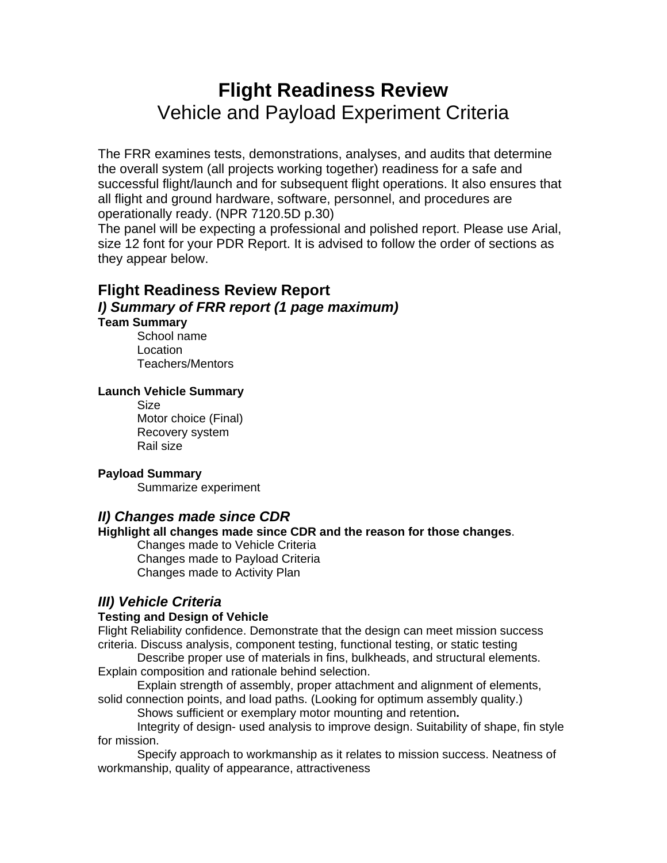# **Flight Readiness Review**  Vehicle and Payload Experiment Criteria

The FRR examines tests, demonstrations, analyses, and audits that determine the overall system (all projects working together) readiness for a safe and successful flight/launch and for subsequent flight operations. It also ensures that all flight and ground hardware, software, personnel, and procedures are operationally ready. (NPR 7120.5D p.30)

The panel will be expecting a professional and polished report. Please use Arial, size 12 font for your PDR Report. It is advised to follow the order of sections as they appear below.

# **Flight Readiness Review Report**  *I) Summary of FRR report (1 page maximum)*  **Team Summary**

School name Location Teachers/Mentors

# **Launch Vehicle Summary**

Size Motor choice (Final) Recovery system Rail size

# **Payload Summary**

Summarize experiment

# *II) Changes made since CDR*

# **Highlight all changes made since CDR and the reason for those changes**.

Changes made to Vehicle Criteria Changes made to Payload Criteria Changes made to Activity Plan

# *III) Vehicle Criteria*

# **Testing and Design of Vehicle**

Flight Reliability confidence. Demonstrate that the design can meet mission success criteria. Discuss analysis, component testing, functional testing, or static testing

Describe proper use of materials in fins, bulkheads, and structural elements. Explain composition and rationale behind selection.

Explain strength of assembly, proper attachment and alignment of elements, solid connection points, and load paths. (Looking for optimum assembly quality.)

Shows sufficient or exemplary motor mounting and retention**.** 

Integrity of design- used analysis to improve design. Suitability of shape, fin style for mission.

Specify approach to workmanship as it relates to mission success. Neatness of workmanship, quality of appearance, attractiveness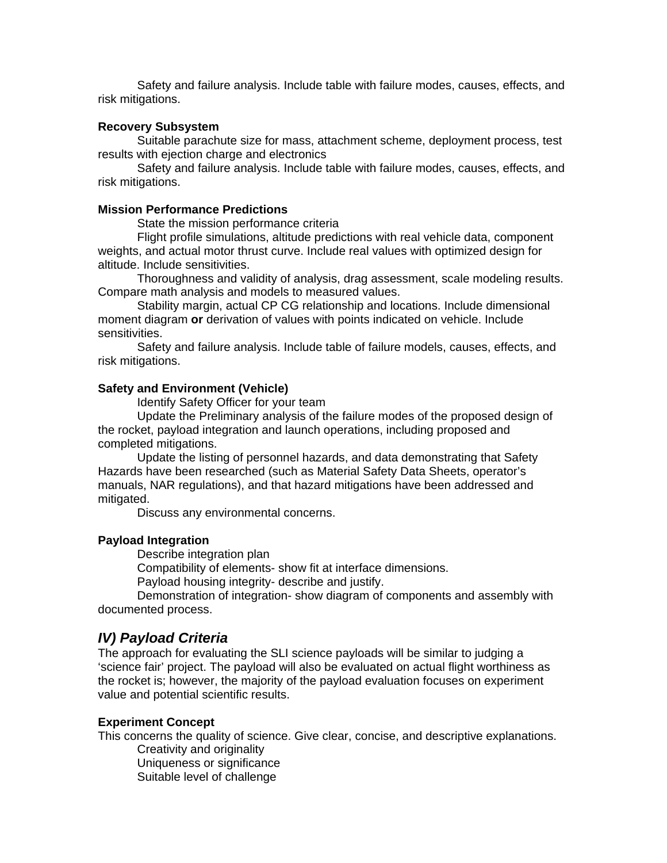Safety and failure analysis. Include table with failure modes, causes, effects, and risk mitigations.

#### **Recovery Subsystem**

Suitable parachute size for mass, attachment scheme, deployment process, test results with ejection charge and electronics

Safety and failure analysis. Include table with failure modes, causes, effects, and risk mitigations.

#### **Mission Performance Predictions**

State the mission performance criteria

Flight profile simulations, altitude predictions with real vehicle data, component weights, and actual motor thrust curve. Include real values with optimized design for altitude. Include sensitivities.

Thoroughness and validity of analysis, drag assessment, scale modeling results. Compare math analysis and models to measured values.

Stability margin, actual CP CG relationship and locations. Include dimensional moment diagram **or** derivation of values with points indicated on vehicle. Include sensitivities.

Safety and failure analysis. Include table of failure models, causes, effects, and risk mitigations.

### **Safety and Environment (Vehicle)**

Identify Safety Officer for your team

Update the Preliminary analysis of the failure modes of the proposed design of the rocket, payload integration and launch operations, including proposed and completed mitigations.

Update the listing of personnel hazards, and data demonstrating that Safety Hazards have been researched (such as Material Safety Data Sheets, operator's manuals, NAR regulations), and that hazard mitigations have been addressed and mitigated.

Discuss any environmental concerns.

#### **Payload Integration**

Describe integration plan

Compatibility of elements- show fit at interface dimensions.

Payload housing integrity- describe and justify.

Demonstration of integration- show diagram of components and assembly with documented process.

#### *IV) Payload Criteria*

The approach for evaluating the SLI science payloads will be similar to judging a 'science fair' project. The payload will also be evaluated on actual flight worthiness as the rocket is; however, the majority of the payload evaluation focuses on experiment value and potential scientific results.

#### **Experiment Concept**

This concerns the quality of science. Give clear, concise, and descriptive explanations. Creativity and originality

Uniqueness or significance

Suitable level of challenge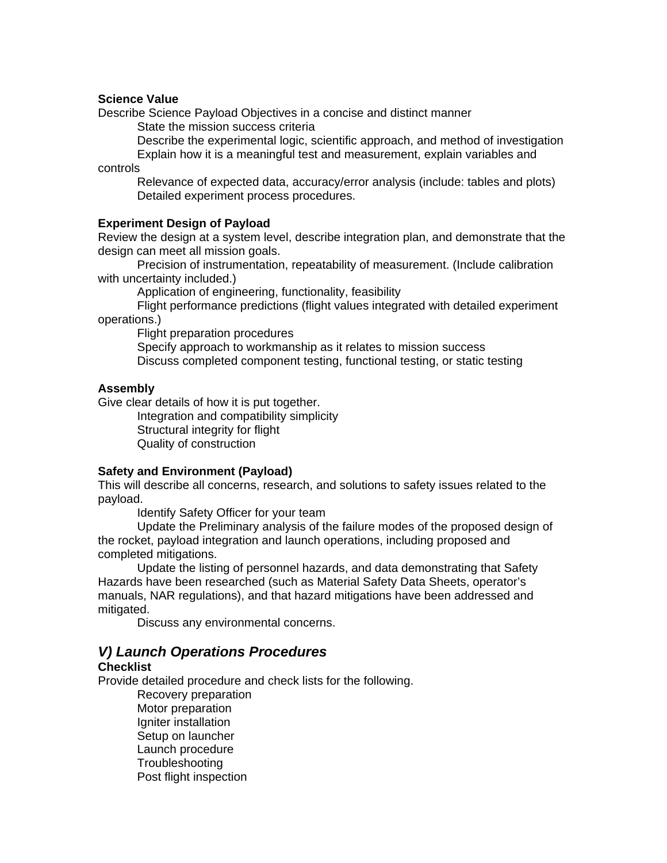### **Science Value**

Describe Science Payload Objectives in a concise and distinct manner

State the mission success criteria

Describe the experimental logic, scientific approach, and method of investigation Explain how it is a meaningful test and measurement, explain variables and

controls

Relevance of expected data, accuracy/error analysis (include: tables and plots) Detailed experiment process procedures.

### **Experiment Design of Payload**

Review the design at a system level, describe integration plan, and demonstrate that the design can meet all mission goals.

Precision of instrumentation, repeatability of measurement. (Include calibration with uncertainty included.)

Application of engineering, functionality, feasibility

Flight performance predictions (flight values integrated with detailed experiment operations.)

Flight preparation procedures

Specify approach to workmanship as it relates to mission success Discuss completed component testing, functional testing, or static testing

### **Assembly**

Give clear details of how it is put together.

Integration and compatibility simplicity Structural integrity for flight Quality of construction

### **Safety and Environment (Payload)**

This will describe all concerns, research, and solutions to safety issues related to the payload.

Identify Safety Officer for your team

Update the Preliminary analysis of the failure modes of the proposed design of the rocket, payload integration and launch operations, including proposed and completed mitigations.

Update the listing of personnel hazards, and data demonstrating that Safety Hazards have been researched (such as Material Safety Data Sheets, operator's manuals, NAR regulations), and that hazard mitigations have been addressed and mitigated.

Discuss any environmental concerns.

# *V) Launch Operations Procedures*

### **Checklist**

Provide detailed procedure and check lists for the following.

Recovery preparation Motor preparation Igniter installation Setup on launcher Launch procedure **Troubleshooting** Post flight inspection